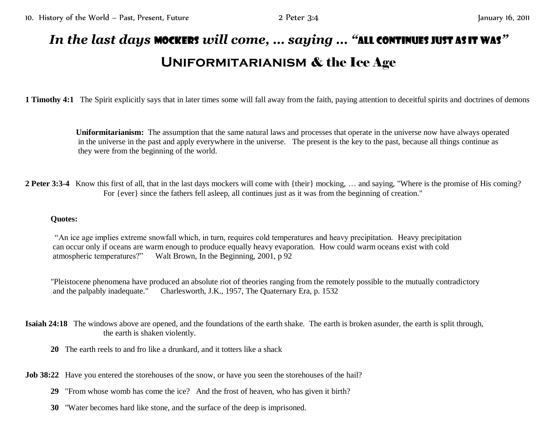## *In the last days* mockers *will come, … saying … "*all continues just as it was*"* **Uniformitarianism** & the Ice Age

**1 Timothy 4:1** The Spirit explicitly says that in later times some will fall away from the faith, paying attention to deceitful spirits and doctrines of demons

**Uniformitarianism:** The assumption that the same natural laws and processes that operate in the universe now have always operated in the universe in the past and apply everywhere in the universe. The present is the key to the past, because all things continue as they were from the beginning of the world.

**2 Peter 3:3-4** Know this first of all, that in the last days mockers will come with {their} mocking, … and saying, "Where is the promise of His coming? For {ever} since the fathers fell asleep, all continues just as it was from the beginning of creation."

## **Quotes:**

 "An ice age implies extreme snowfall which, in turn, requires cold temperatures and heavy precipitation. Heavy precipitation can occur only if oceans are warm enough to produce equally heavy evaporation. How could warm oceans exist with cold atmospheric temperatures?" Walt Brown, In the Beginning, 2001, p 92

"Pleistocene phenomena have produced an absolute riot of theories ranging from the remotely possible to the mutually contradictory and the palpably inadequate." Charlesworth, J.K., 1957, The Quaternary Era, p. 1532

**Isaiah 24:18** The windows above are opened, and the foundations of the earth shake. The earth is broken asunder, the earth is split through, the earth is shaken violently.

**20** The earth reels to and fro like a drunkard, and it totters like a shack

**Job 38:22** Have you entered the storehouses of the snow, or have you seen the storehouses of the hail?

- **29** "From whose womb has come the ice? And the frost of heaven, who has given it birth?
- **30** "Water becomes hard like stone, and the surface of the deep is imprisoned.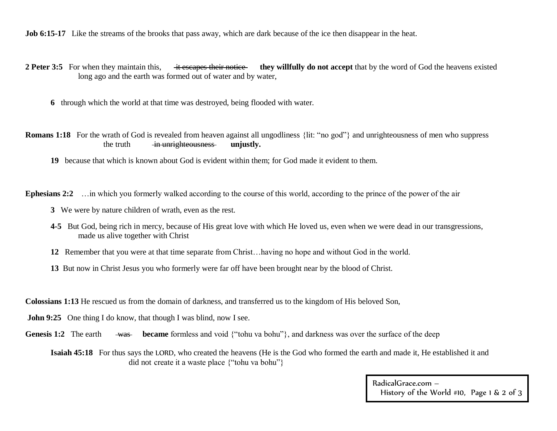**Job 6:15-17** Like the streams of the brooks that pass away, which are dark because of the ice then disappear in the heat.

- **2 Peter 3:5** For when they maintain this, it escapes their notice they willfully do not accept that by the word of God the heavens existed long ago and the earth was formed out of water and by water,
	- **6** through which the world at that time was destroyed, being flooded with water.
- **Romans 1:18** For the wrath of God is revealed from heaven against all ungodliness {lit: "no god"} and unrighteousness of men who suppress the truth in unrighteousness **unjustly.** 
	- **19** because that which is known about God is evident within them; for God made it evident to them.

**Ephesians 2:2** …in which you formerly walked according to the course of this world, according to the prince of the power of the air

- **3** We were by nature children of wrath, even as the rest.
- **4-5** But God, being rich in mercy, because of His great love with which He loved us, even when we were dead in our transgressions, made us alive together with Christ
- **12** Remember that you were at that time separate from Christ…having no hope and without God in the world.
- **13** But now in Christ Jesus you who formerly were far off have been brought near by the blood of Christ.

**Colossians 1:13** He rescued us from the domain of darkness, and transferred us to the kingdom of His beloved Son,

- **John 9:25** One thing I do know, that though I was blind, now I see.
- **Genesis 1:2** The earth was became formless and void {"tohu va bohu"}, and darkness was over the surface of the deep

**Isaiah 45:18** For thus says the LORD, who created the heavens (He is the God who formed the earth and made it, He established it and did not create it a waste place {"tohu va bohu"}

> RadicalGrace.com – History of the World #10, Page 1 & 2 of 3